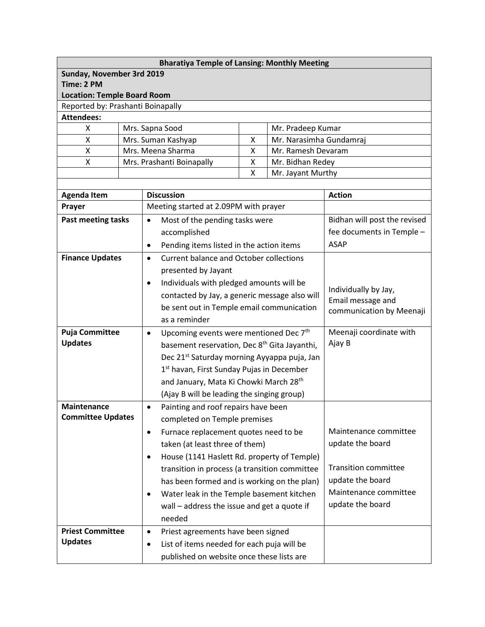| <b>Bharatiya Temple of Lansing: Monthly Meeting</b> |                                                         |                                                 |                                                          |                                                                       |                                              |                             |  |  |  |
|-----------------------------------------------------|---------------------------------------------------------|-------------------------------------------------|----------------------------------------------------------|-----------------------------------------------------------------------|----------------------------------------------|-----------------------------|--|--|--|
| Sunday, November 3rd 2019                           |                                                         |                                                 |                                                          |                                                                       |                                              |                             |  |  |  |
| Time: 2 PM                                          |                                                         |                                                 |                                                          |                                                                       |                                              |                             |  |  |  |
| <b>Location: Temple Board Room</b>                  |                                                         |                                                 |                                                          |                                                                       |                                              |                             |  |  |  |
| Reported by: Prashanti Boinapally                   |                                                         |                                                 |                                                          |                                                                       |                                              |                             |  |  |  |
| <b>Attendees:</b><br>X                              |                                                         |                                                 | Mrs. Sapna Sood                                          |                                                                       |                                              |                             |  |  |  |
| Χ                                                   |                                                         |                                                 | Mrs. Suman Kashyap                                       | $\mathsf{x}$                                                          | Mr. Pradeep Kumar<br>Mr. Narasimha Gundamraj |                             |  |  |  |
| Χ                                                   |                                                         |                                                 | Mrs. Meena Sharma<br>Mr. Ramesh Devaram<br>X             |                                                                       |                                              |                             |  |  |  |
| Χ                                                   |                                                         | Mrs. Prashanti Boinapally<br>X                  |                                                          |                                                                       | Mr. Bidhan Redey                             |                             |  |  |  |
|                                                     |                                                         | X<br>Mr. Jayant Murthy                          |                                                          |                                                                       |                                              |                             |  |  |  |
|                                                     |                                                         |                                                 |                                                          |                                                                       |                                              |                             |  |  |  |
| <b>Agenda Item</b>                                  |                                                         |                                                 | <b>Discussion</b>                                        | <b>Action</b>                                                         |                                              |                             |  |  |  |
| Prayer                                              |                                                         |                                                 | Meeting started at 2.09PM with prayer                    |                                                                       |                                              |                             |  |  |  |
| Past meeting tasks                                  |                                                         | $\bullet$                                       | Most of the pending tasks were                           | Bidhan will post the revised                                          |                                              |                             |  |  |  |
|                                                     |                                                         |                                                 | accomplished                                             |                                                                       |                                              | fee documents in Temple -   |  |  |  |
|                                                     |                                                         | $\bullet$                                       | Pending items listed in the action items                 |                                                                       |                                              | <b>ASAP</b>                 |  |  |  |
| <b>Finance Updates</b>                              |                                                         | $\bullet$                                       | <b>Current balance and October collections</b>           |                                                                       |                                              |                             |  |  |  |
|                                                     |                                                         |                                                 | presented by Jayant                                      |                                                                       |                                              |                             |  |  |  |
|                                                     |                                                         | $\bullet$                                       | Individuals with pledged amounts will be                 |                                                                       |                                              |                             |  |  |  |
|                                                     |                                                         |                                                 | contacted by Jay, a generic message also will            | Individually by Jay,<br>Email message and<br>communication by Meenaji |                                              |                             |  |  |  |
|                                                     |                                                         |                                                 | be sent out in Temple email communication                |                                                                       |                                              |                             |  |  |  |
|                                                     |                                                         |                                                 | as a reminder                                            |                                                                       |                                              |                             |  |  |  |
| <b>Puja Committee</b>                               |                                                         | $\bullet$                                       | Upcoming events were mentioned Dec 7 <sup>th</sup>       | Meenaji coordinate with                                               |                                              |                             |  |  |  |
| <b>Updates</b>                                      |                                                         |                                                 | basement reservation, Dec 8 <sup>th</sup> Gita Jayanthi, | Ajay B                                                                |                                              |                             |  |  |  |
|                                                     |                                                         |                                                 | Dec 21 <sup>st</sup> Saturday morning Ayyappa puja, Jan  |                                                                       |                                              |                             |  |  |  |
|                                                     |                                                         |                                                 | 1 <sup>st</sup> havan, First Sunday Pujas in December    |                                                                       |                                              |                             |  |  |  |
|                                                     |                                                         |                                                 | and January, Mata Ki Chowki March 28 <sup>th</sup>       |                                                                       |                                              |                             |  |  |  |
|                                                     |                                                         |                                                 | (Ajay B will be leading the singing group)               |                                                                       |                                              |                             |  |  |  |
| <b>Maintenance</b>                                  |                                                         | $\bullet$                                       | Painting and roof repairs have been                      |                                                                       |                                              |                             |  |  |  |
| <b>Committee Updates</b>                            |                                                         |                                                 | completed on Temple premises                             |                                                                       |                                              |                             |  |  |  |
|                                                     |                                                         | $\bullet$                                       | Furnace replacement quotes need to be                    | Maintenance committee                                                 |                                              |                             |  |  |  |
|                                                     |                                                         |                                                 | taken (at least three of them)                           |                                                                       |                                              | update the board            |  |  |  |
|                                                     |                                                         | $\bullet$                                       | House (1141 Haslett Rd. property of Temple)              |                                                                       |                                              |                             |  |  |  |
|                                                     |                                                         |                                                 | transition in process (a transition committee            |                                                                       |                                              | <b>Transition committee</b> |  |  |  |
|                                                     |                                                         |                                                 | has been formed and is working on the plan)              |                                                                       |                                              | update the board            |  |  |  |
|                                                     |                                                         | $\bullet$                                       | Water leak in the Temple basement kitchen                |                                                                       |                                              | Maintenance committee       |  |  |  |
|                                                     |                                                         |                                                 | wall - address the issue and get a quote if              |                                                                       |                                              | update the board            |  |  |  |
|                                                     |                                                         |                                                 | needed                                                   |                                                                       |                                              |                             |  |  |  |
| <b>Priest Committee</b>                             |                                                         | Priest agreements have been signed<br>$\bullet$ |                                                          |                                                                       |                                              |                             |  |  |  |
| <b>Updates</b>                                      | List of items needed for each puja will be<br>$\bullet$ |                                                 |                                                          |                                                                       |                                              |                             |  |  |  |
|                                                     |                                                         |                                                 | published on website once these lists are                |                                                                       |                                              |                             |  |  |  |